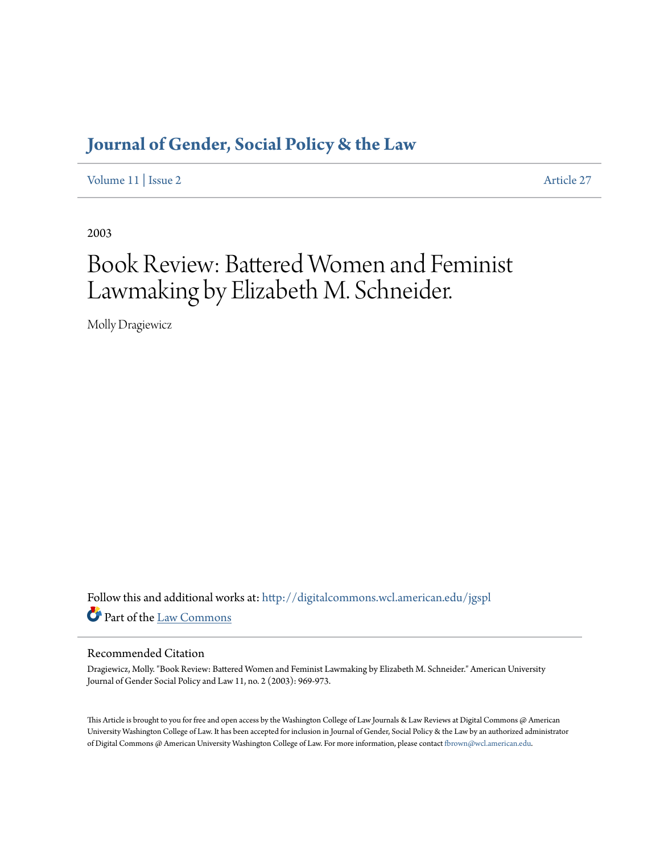## **[Journal of Gender, Social Policy & the Law](http://digitalcommons.wcl.american.edu/jgspl?utm_source=digitalcommons.wcl.american.edu%2Fjgspl%2Fvol11%2Fiss2%2F27&utm_medium=PDF&utm_campaign=PDFCoverPages)**

[Volume 11](http://digitalcommons.wcl.american.edu/jgspl/vol11?utm_source=digitalcommons.wcl.american.edu%2Fjgspl%2Fvol11%2Fiss2%2F27&utm_medium=PDF&utm_campaign=PDFCoverPages) | [Issue 2](http://digitalcommons.wcl.american.edu/jgspl/vol11/iss2?utm_source=digitalcommons.wcl.american.edu%2Fjgspl%2Fvol11%2Fiss2%2F27&utm_medium=PDF&utm_campaign=PDFCoverPages) [Article 27](http://digitalcommons.wcl.american.edu/jgspl/vol11/iss2/27?utm_source=digitalcommons.wcl.american.edu%2Fjgspl%2Fvol11%2Fiss2%2F27&utm_medium=PDF&utm_campaign=PDFCoverPages)

2003

# Book Review: Battered Women and Feminist Lawmaking by Elizabeth M. Schneider.

Molly Dragiewicz

Follow this and additional works at: [http://digitalcommons.wcl.american.edu/jgspl](http://digitalcommons.wcl.american.edu/jgspl?utm_source=digitalcommons.wcl.american.edu%2Fjgspl%2Fvol11%2Fiss2%2F27&utm_medium=PDF&utm_campaign=PDFCoverPages) Part of the [Law Commons](http://network.bepress.com/hgg/discipline/578?utm_source=digitalcommons.wcl.american.edu%2Fjgspl%2Fvol11%2Fiss2%2F27&utm_medium=PDF&utm_campaign=PDFCoverPages)

#### Recommended Citation

Dragiewicz, Molly. "Book Review: Battered Women and Feminist Lawmaking by Elizabeth M. Schneider." American University Journal of Gender Social Policy and Law 11, no. 2 (2003): 969-973.

This Article is brought to you for free and open access by the Washington College of Law Journals & Law Reviews at Digital Commons @ American University Washington College of Law. It has been accepted for inclusion in Journal of Gender, Social Policy & the Law by an authorized administrator of Digital Commons @ American University Washington College of Law. For more information, please contact [fbrown@wcl.american.edu.](mailto:fbrown@wcl.american.edu)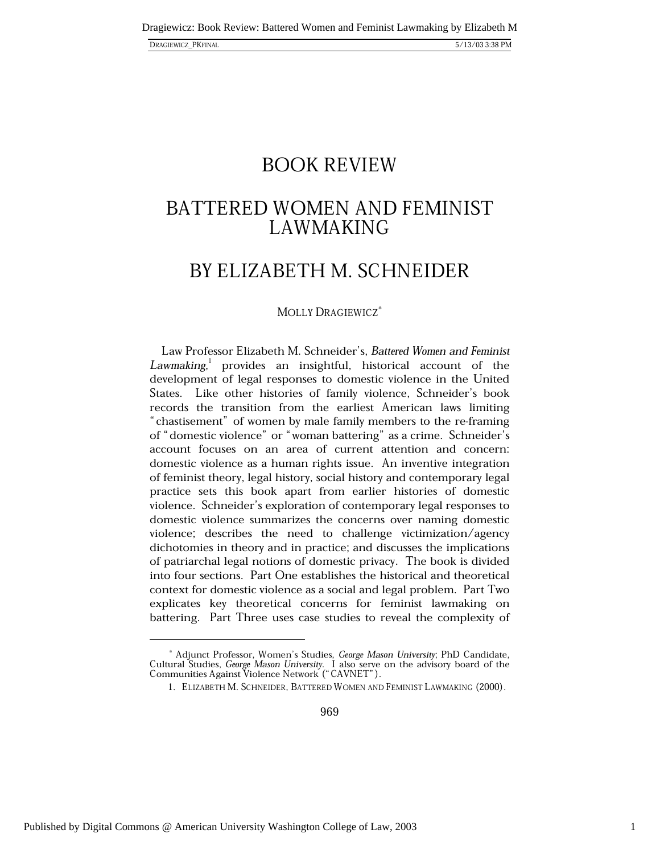# BOOK REVIEW

### BATTERED WOMEN AND FEMINIST **LAWMAKING**

# BY ELIZABETH M. SCHNEIDER

### Molly Dragiewicz\*

Law Professor Elizabeth M. Schneider's, *Battered Women and Feminist*  $\emph{Lawmaking,}^1$  provides an insightful, historical account of the development of legal responses to domestic violence in the United States. Like other histories of family violence, Schneider's book records the transition from the earliest American laws limiting " chastisement" of women by male family members to the re-framing of "domestic violence" or "woman battering" as a crime. Schneider's account focuses on an area of current attention and concern: domestic violence as a human rights issue. An inventive integration of feminist theory, legal history, social history and contemporary legal practice sets this book apart from earlier histories of domestic violence. Schneider's exploration of contemporary legal responses to domestic violence summarizes the concerns over naming domestic violence; describes the need to challenge victimization/agency dichotomies in theory and in practice; and discusses the implications of patriarchal legal notions of domestic privacy. The book is divided into four sections. Part One establishes the historical and theoretical context for domestic violence as a social and legal problem. Part Two explicates key theoretical concerns for feminist lawmaking on battering. Part Three uses case studies to reveal the complexity of

969

1

<sup>\*</sup> Adjunct Professor, Women's Studies, George Mason University; PhD Candidate, Cultural Studies, *George Mason University*. I also serve on the advisory board of the<br>Communities Against Violence Network ("CAVNET").

<sup>1.</sup> Elizabeth M. Schneider, Battered Women and Feminist Lawmaking (2000).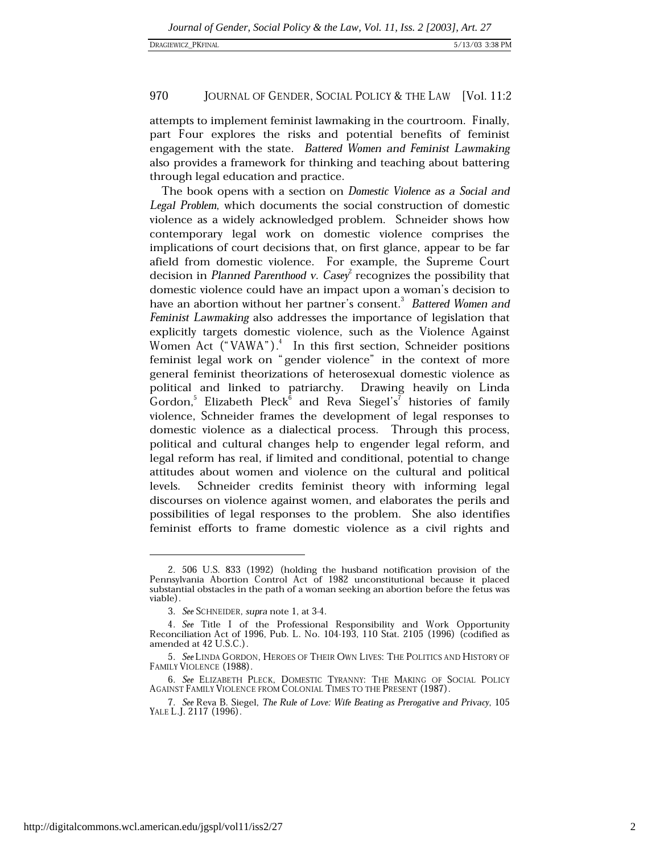#### 970 JOURNAL OF GENDER, SOCIAL POLICY & THE LAW [Vol. 11:2]

attempts to implement feminist lawmaking in the courtroom. Finally, part Four explores the risks and potential benefits of feminist engagement with the state. Battered Women and Feminist Lawmaking also provides a framework for thinking and teaching about battering through legal education and practice.

The book opens with a section on Domestic Violence as a Social and Legal Problem, which documents the social construction of domestic violence as a widely acknowledged problem. Schneider shows how contemporary legal work on domestic violence comprises the implications of court decisions that, on first glance, appear to be far afield from domestic violence. For example, the Supreme Court decision in Planned Parenthood v. Casey recognizes the possibility that domestic violence could have an impact upon a woman's decision to have an abortion without her partner's consent.<sup>3</sup> Battered Women and Feminist Lawmaking also addresses the importance of legislation that explicitly targets domestic violence, such as the Violence Against Women Act ("VAWA").<sup>4</sup> In this first section, Schneider positions feminist legal work on "gender violence" in the context of more general feminist theorizations of heterosexual domestic violence as political and linked to patriarchy. Drawing heavily on Linda Gordon,<sup>5</sup> Elizabeth Pleck<sup>6</sup> and Reva Siegel's<sup>'</sup> histories of family violence, Schneider frames the development of legal responses to domestic violence as a dialectical process. Through this process, political and cultural changes help to engender legal reform, and legal reform has real, if limited and conditional, potential to change attitudes about women and violence on the cultural and political Schneider credits feminist theory with informing legal levels. discourses on violence against women, and elaborates the perils and possibilities of legal responses to the problem. She also identifies feminist efforts to frame domestic violence as a civil rights and

<sup>2. 506</sup> U.S. 833 (1992) (holding the husband notification provision of the Pennsylvania Abortion Control Act of 1982 unconstitutional because it placed substantial obstacles in the path of a woman seeking an abortion before the fetus was viable).

<sup>3.</sup> See SCHNEIDER, supra note 1, at 3-4.

<sup>4.</sup> See Title I of the Professional Responsibility and Work Opportunity Reconciliation Act of 1996, Pub. L. No. 104-193, 110 Stat. 2105 (1996) (codified as amended at 42 U.S.C.).

<sup>5.</sup> See LINDA GORDON, HEROES OF THEIR OWN LIVES: THE POLITICS AND HISTORY OF FAMILY VIOLENCE (1988).

<sup>6.</sup> See ELIZABETH PLECK, DOMESTIC TYRANNY: THE MAKING OF SOCIAL POLICY AGAINST FAMILY VIOLENCE FROM COLONIAL TIMES TO THE PRESENT (1987).

<sup>7.</sup> See Reva B. Siegel, The Rule of Love: Wife Beating as Prerogative and Privacy, 105 YALE L.J. 2117 (1996).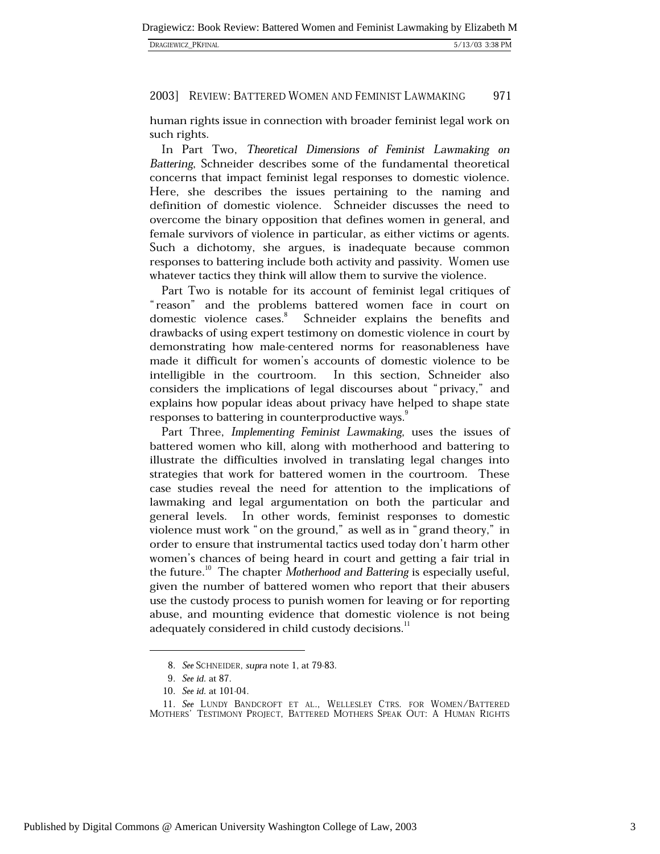| DRAGIEWICZ_PKFINAL | 5/13/03 3:38 PM |
|--------------------|-----------------|
|                    |                 |

#### 2003] REVIEW: BATTERED WOMEN AND FEMINIST LAWMAKING 971

human rights issue in connection with broader feminist legal work on such rights.

In Part Two, *Theoretical Dimensions of Feminist Lawmaking on* Battering, Schneider describes some of the fundamental theoretical concerns that impact feminist legal responses to domestic violence. Here, she describes the issues pertaining to the naming and definition of domestic violence. Schneider discusses the need to overcome the binary opposition that defines women in general, and female survivors of violence in particular, as either victims or agents. Such a dichotomy, she argues, is inadequate because common responses to battering include both activity and passivity. Women use whatever tactics they think will allow them to survive the violence.

Part Two is notable for its account of feminist legal critiques of "reason" and the problems battered women face in court on domestic violence cases.<sup>8</sup> Schneider explains the benefits and drawbacks of using expert testimony on domestic violence in court by demonstrating how male-centered norms for reasonableness have made it difficult for women's accounts of domestic violence to be intelligible in the courtroom. In this section, Schneider also considers the implications of legal discourses about "privacy," and explains how popular ideas about privacy have helped to shape state responses to battering in counterproductive ways.

Part Three, *Implementing Feminist Lawmaking*, uses the issues of battered women who kill, along with motherhood and battering to illustrate the difficulties involved in translating legal changes into strategies that work for battered women in the courtroom. These case studies reveal the need for attention to the implications of lawmaking and legal argumentation on both the particular and general levels. In other words, feminist responses to domestic violence must work "on the ground," as well as in "grand theory," in order to ensure that instrumental tactics used today don't harm other women's chances of being heard in court and getting a fair trial in the future.<sup>10</sup> The chapter *Motherhood and Battering* is especially useful, given the number of battered women who report that their abusers use the custody process to punish women for leaving or for reporting abuse, and mounting evidence that domestic violence is not being adequately considered in child custody decisions.<sup>11</sup>

-

<sup>8.</sup> See SCHNEIDER, supra note 1, at 79-83.

<sup>9.</sup> See id. at 87.

<sup>10.</sup> See id. at 101-04.

<sup>11.</sup> See LUNDY BANDCROFT ET AL., WELLESLEY CTRS. FOR WOMEN/BATTERED Mothers' Testimony Project, Battered Mothers Speak Out: A Human Rights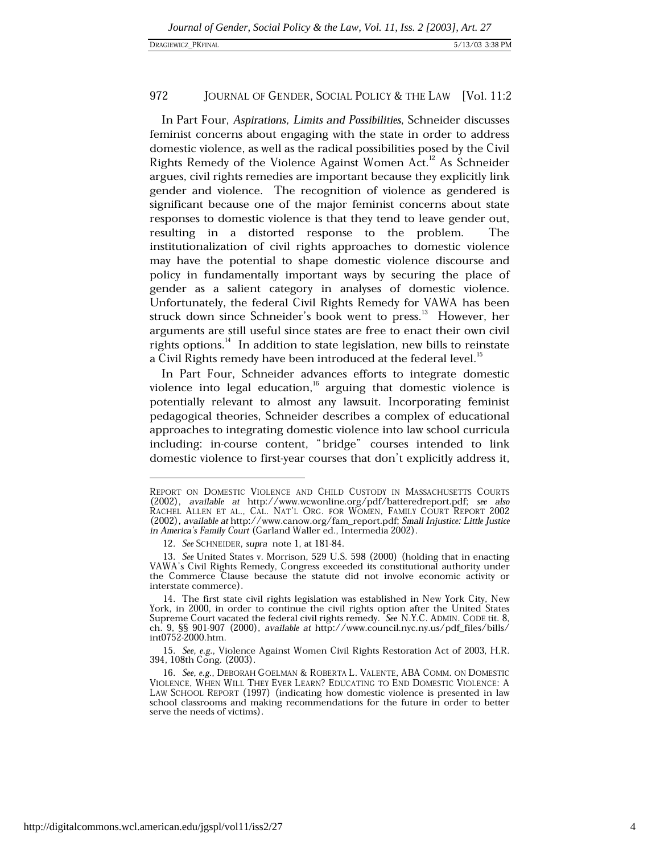#### 972 JOURNAL OF GENDER, SOCIAL POLICY & THE LAW [Vol. 11:2

In Part Four, *Aspirations, Limits and Possibilities*, Schneider discusses feminist concerns about engaging with the state in order to address domestic violence, as well as the radical possibilities posed by the Civil Rights Remedy of the Violence Against Women Act.<sup>12</sup> As Schneider argues, civil rights remedies are important because they explicitly link gender and violence. The recognition of violence as gendered is significant because one of the major feminist concerns about state responses to domestic violence is that they tend to leave gender out, resulting in a distorted response to the problem. The institutionalization of civil rights approaches to domestic violence may have the potential to shape domestic violence discourse and policy in fundamentally important ways by securing the place of gender as a salient category in analyses of domestic violence. Unfortunately, the federal Civil Rights Remedy for VAWA has been struck down since Schneider's book went to press.<sup>13</sup> However, her arguments are still useful since states are free to enact their own civil rights options.<sup>14</sup> In addition to state legislation, new bills to reinstate a Civil Rights remedy have been introduced at the federal level.<sup>15</sup>

In Part Four, Schneider advances efforts to integrate domestic violence into legal education,  $16$  arguing that domestic violence is potentially relevant to almost any lawsuit. Incorporating feminist pedagogical theories, Schneider describes a complex of educational approaches to integrating domestic violence into law school curricula including: in-course content, "bridge" courses intended to link domestic violence to first-year courses that don't explicitly address it,

1

Report on Domestic Violence and Child Custody in Massachusetts Courts (2002), available at http://www.wcwonline.org/pdf/batteredreport.pdf; see also RACHEL ALLEN ET AL., CAL. NAT'L ORG. FOR WOMEN, FAMILY COURT REPORT 2002 (2002), available at http://www.canow.org/fam\_report.pdf; Small Injustice: Little Justice in America's Family Court (Garland Waller ed., Intermedia 2002).

<sup>12.</sup> See SCHNEIDER, supra note 1, at 181-84.

<sup>13.</sup> See United States v. Morrison, 529 U.S. 598 (2000) (holding that in enacting VAWA's Civil Rights Remedy, Congress exceeded its constitutional authority under the Commerce Clause because the statute did not involve economic activity or interstate commerce).

<sup>14.</sup> The first state civil rights legislation was established in New York City, New York, in 2000, in order to continue the civil rights option after the United States Supreme Court vacated the federal civil rights remedy. See N.Y.C. ADMIN. CODE tit. 8, ch. 9, §§ 901-907 (2000), available at http://www.council.nyc.ny.us/pdf\_files/bills/ int0752-2000.htm.

<sup>15.</sup> See, e.g., Violence Against Women Civil Rights Restoration Act of 2003, H.R. 394, 108th Cong. (2003).

<sup>16.</sup> See, e.g., DEBORAH GOELMAN & ROBERTA L. VALENTE, ABA COMM. ON DOMESTIC Violence, When Will They Ever Learn? Educating to End Domestic Violence: A LAW SCHOOL REPORT (1997) (indicating how domestic violence is presented in law school classrooms and making recommendations for the future in order to better serve the needs of victims).